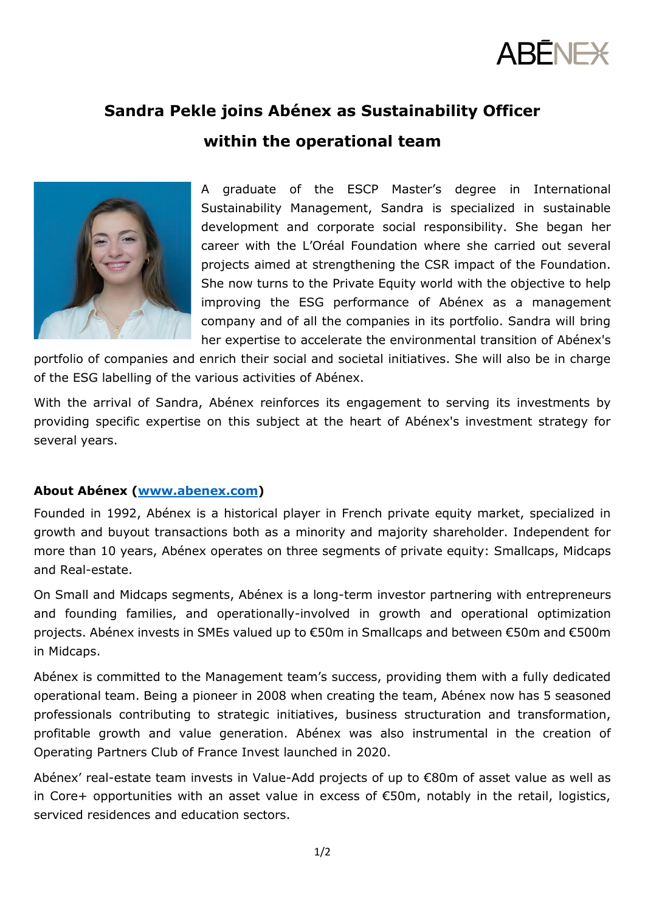

## **Sandra Pekle joins Abénex as Sustainability Officer**

**within the operational team**



A graduate of the ESCP Master's degree in International Sustainability Management, Sandra is specialized in sustainable development and corporate social responsibility. She began her career with the L'Oréal Foundation where she carried out several projects aimed at strengthening the CSR impact of the Foundation. She now turns to the Private Equity world with the objective to help improving the ESG performance of Abénex as a management company and of all the companies in its portfolio. Sandra will bring her expertise to accelerate the environmental transition of Abénex's

portfolio of companies and enrich their social and societal initiatives. She will also be in charge of the ESG labelling of the various activities of Abénex.

With the arrival of Sandra, Abénex reinforces its engagement to serving its investments by providing specific expertise on this subject at the heart of Abénex's investment strategy for several years.

## **About Abénex [\(www.abenex.com\)](http://www.abenex.com/)**

Founded in 1992, Abénex is a historical player in French private equity market, specialized in growth and buyout transactions both as a minority and majority shareholder. Independent for more than 10 years, Abénex operates on three segments of private equity: Smallcaps, Midcaps and Real-estate.

On Small and Midcaps segments, Abénex is a long-term investor partnering with entrepreneurs and founding families, and operationally-involved in growth and operational optimization projects. Abénex invests in SMEs valued up to €50m in Smallcaps and between €50m and €500m in Midcaps.

Abénex is committed to the Management team's success, providing them with a fully dedicated operational team. Being a pioneer in 2008 when creating the team, Abénex now has 5 seasoned professionals contributing to strategic initiatives, business structuration and transformation, profitable growth and value generation. Abénex was also instrumental in the creation of Operating Partners Club of France Invest launched in 2020.

Abénex' real-estate team invests in Value-Add projects of up to €80m of asset value as well as in Core+ opportunities with an asset value in excess of €50m, notably in the retail, logistics, serviced residences and education sectors.